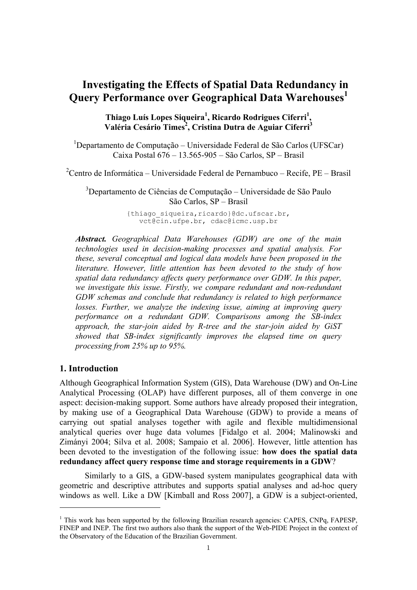# **Investigating the Effects of Spatial Data Redundancy in Query Performance over Geographical Data Warehouses<sup>1</sup>**

**Thiago Luís Lopes Siqueira1 , Ricardo Rodrigues Ciferri<sup>1</sup> , Valéria Cesário Times<sup>2</sup> , Cristina Dutra de Aguiar Ciferri<sup>3</sup>**

<sup>1</sup>Departamento de Computação – Universidade Federal de São Carlos (UFSCar) Caixa Postal 676 – 13.565-905 – São Carlos, SP – Brasil

<sup>2</sup> Centro de Informática – Universidade Federal de Pernambuco – Recife, PE – Brasil

3 Departamento de Ciências de Computação – Universidade de São Paulo São Carlos, SP – Brasil

> {thiago\_siqueira,ricardo}@dc.ufscar.br, vct@cin.ufpe.br, cdac@icmc.usp.br

*Abstract. Geographical Data Warehouses (GDW) are one of the main technologies used in decision-making processes and spatial analysis. For these, several conceptual and logical data models have been proposed in the literature. However, little attention has been devoted to the study of how spatial data redundancy affects query performance over GDW. In this paper, we investigate this issue. Firstly, we compare redundant and non-redundant GDW schemas and conclude that redundancy is related to high performance losses. Further, we analyze the indexing issue, aiming at improving query performance on a redundant GDW. Comparisons among the SB-index approach, the star-join aided by R-tree and the star-join aided by GiST showed that SB-index significantly improves the elapsed time on query processing from 25% up to 95%.* 

# **1. Introduction**

1

Although Geographical Information System (GIS), Data Warehouse (DW) and On-Line Analytical Processing (OLAP) have different purposes, all of them converge in one aspect: decision-making support. Some authors have already proposed their integration, by making use of a Geographical Data Warehouse (GDW) to provide a means of carrying out spatial analyses together with agile and flexible multidimensional analytical queries over huge data volumes [Fidalgo et al. 2004; Malinowski and Zimányi 2004; Silva et al. 2008; Sampaio et al. 2006]. However, little attention has been devoted to the investigation of the following issue: **how does the spatial data redundancy affect query response time and storage requirements in a GDW**?

 Similarly to a GIS, a GDW-based system manipulates geographical data with geometric and descriptive attributes and supports spatial analyses and ad-hoc query windows as well. Like a DW [Kimball and Ross 2007], a GDW is a subject-oriented,

<sup>&</sup>lt;sup>1</sup> This work has been supported by the following Brazilian research agencies: CAPES, CNPq, FAPESP, FINEP and INEP. The first two authors also thank the support of the Web-PIDE Project in the context of the Observatory of the Education of the Brazilian Government.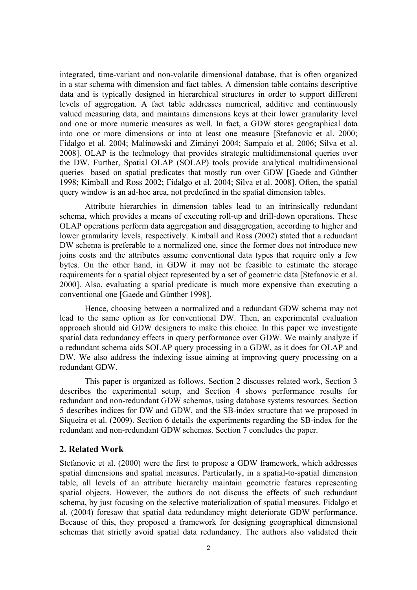integrated, time-variant and non-volatile dimensional database, that is often organized in a star schema with dimension and fact tables. A dimension table contains descriptive data and is typically designed in hierarchical structures in order to support different levels of aggregation. A fact table addresses numerical, additive and continuously valued measuring data, and maintains dimensions keys at their lower granularity level and one or more numeric measures as well. In fact, a GDW stores geographical data into one or more dimensions or into at least one measure [Stefanovic et al. 2000; Fidalgo et al. 2004; Malinowski and Zimányi 2004; Sampaio et al. 2006; Silva et al. 2008]. OLAP is the technology that provides strategic multidimensional queries over the DW. Further, Spatial OLAP (SOLAP) tools provide analytical multidimensional queries based on spatial predicates that mostly run over GDW [Gaede and Günther 1998; Kimball and Ross 2002; Fidalgo et al. 2004; Silva et al. 2008]. Often, the spatial query window is an ad-hoc area, not predefined in the spatial dimension tables.

 Attribute hierarchies in dimension tables lead to an intrinsically redundant schema, which provides a means of executing roll-up and drill-down operations. These OLAP operations perform data aggregation and disaggregation, according to higher and lower granularity levels, respectively. Kimball and Ross (2002) stated that a redundant DW schema is preferable to a normalized one, since the former does not introduce new joins costs and the attributes assume conventional data types that require only a few bytes. On the other hand, in GDW it may not be feasible to estimate the storage requirements for a spatial object represented by a set of geometric data [Stefanovic et al. 2000]. Also, evaluating a spatial predicate is much more expensive than executing a conventional one [Gaede and Günther 1998].

Hence, choosing between a normalized and a redundant GDW schema may not lead to the same option as for conventional DW. Then, an experimental evaluation approach should aid GDW designers to make this choice. In this paper we investigate spatial data redundancy effects in query performance over GDW. We mainly analyze if a redundant schema aids SOLAP query processing in a GDW, as it does for OLAP and DW. We also address the indexing issue aiming at improving query processing on a redundant GDW.

 This paper is organized as follows. Section 2 discusses related work, Section 3 describes the experimental setup, and Section 4 shows performance results for redundant and non-redundant GDW schemas, using database systems resources. Section 5 describes indices for DW and GDW, and the SB-index structure that we proposed in Siqueira et al. (2009). Section 6 details the experiments regarding the SB-index for the redundant and non-redundant GDW schemas. Section 7 concludes the paper.

## **2. Related Work**

Stefanovic et al. (2000) were the first to propose a GDW framework, which addresses spatial dimensions and spatial measures. Particularly, in a spatial-to-spatial dimension table, all levels of an attribute hierarchy maintain geometric features representing spatial objects. However, the authors do not discuss the effects of such redundant schema, by just focusing on the selective materialization of spatial measures. Fidalgo et al. (2004) foresaw that spatial data redundancy might deteriorate GDW performance. Because of this, they proposed a framework for designing geographical dimensional schemas that strictly avoid spatial data redundancy. The authors also validated their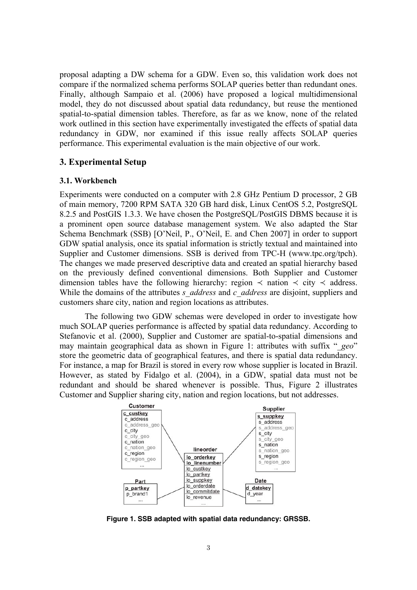proposal adapting a DW schema for a GDW. Even so, this validation work does not compare if the normalized schema performs SOLAP queries better than redundant ones. Finally, although Sampaio et al. (2006) have proposed a logical multidimensional model, they do not discussed about spatial data redundancy, but reuse the mentioned spatial-to-spatial dimension tables. Therefore, as far as we know, none of the related work outlined in this section have experimentally investigated the effects of spatial data redundancy in GDW, nor examined if this issue really affects SOLAP queries performance. This experimental evaluation is the main objective of our work.

## **3. Experimental Setup**

## **3.1. Workbench**

Experiments were conducted on a computer with 2.8 GHz Pentium D processor, 2 GB of main memory, 7200 RPM SATA 320 GB hard disk, Linux CentOS 5.2, PostgreSQL 8.2.5 and PostGIS 1.3.3. We have chosen the PostgreSQL/PostGIS DBMS because it is a prominent open source database management system. We also adapted the Star Schema Benchmark (SSB) [O'Neil, P., O'Neil, E. and Chen 2007] in order to support GDW spatial analysis, once its spatial information is strictly textual and maintained into Supplier and Customer dimensions. SSB is derived from TPC-H (www.tpc.org/tpch). The changes we made preserved descriptive data and created an spatial hierarchy based on the previously defined conventional dimensions. Both Supplier and Customer dimension tables have the following hierarchy: region  $\prec$  nation  $\prec$  city  $\prec$  address. While the domains of the attributes *s\_address* and *c\_address* are disjoint, suppliers and customers share city, nation and region locations as attributes.

 The following two GDW schemas were developed in order to investigate how much SOLAP queries performance is affected by spatial data redundancy. According to Stefanovic et al. (2000), Supplier and Customer are spatial-to-spatial dimensions and may maintain geographical data as shown in Figure 1: attributes with suffix "*\_geo*" store the geometric data of geographical features, and there is spatial data redundancy. For instance, a map for Brazil is stored in every row whose supplier is located in Brazil. However, as stated by Fidalgo et al. (2004), in a GDW, spatial data must not be redundant and should be shared whenever is possible. Thus, Figure 2 illustrates Customer and Supplier sharing city, nation and region locations, but not addresses.



**Figure 1. SSB adapted with spatial data redundancy: GRSSB.**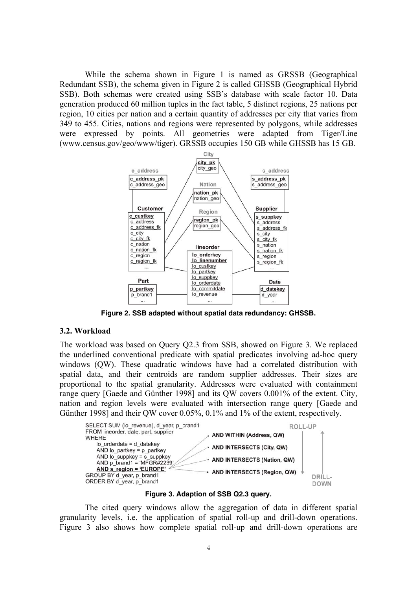While the schema shown in Figure 1 is named as GRSSB (Geographical Redundant SSB), the schema given in Figure 2 is called GHSSB (Geographical Hybrid SSB). Both schemas were created using SSB's database with scale factor 10. Data generation produced 60 million tuples in the fact table, 5 distinct regions, 25 nations per region, 10 cities per nation and a certain quantity of addresses per city that varies from 349 to 455. Cities, nations and regions were represented by polygons, while addresses were expressed by points. All geometries were adapted from Tiger/Line (www.census.gov/geo/www/tiger). GRSSB occupies 150 GB while GHSSB has 15 GB.



**Figure 2. SSB adapted without spatial data redundancy: GHSSB.** 

#### **3.2. Workload**

The workload was based on Query Q2.3 from SSB, showed on Figure 3. We replaced the underlined conventional predicate with spatial predicates involving ad-hoc query windows (QW). These quadratic windows have had a correlated distribution with spatial data, and their centroids are random supplier addresses. Their sizes are proportional to the spatial granularity. Addresses were evaluated with containment range query [Gaede and Günther 1998] and its QW covers 0.001% of the extent. City, nation and region levels were evaluated with intersection range query [Gaede and Günther 1998] and their QW cover 0.05%, 0.1% and 1% of the extent, respectively.



**Figure 3. Adaption of SSB Q2.3 query.** 

 The cited query windows allow the aggregation of data in different spatial granularity levels, i.e. the application of spatial roll-up and drill-down operations. Figure 3 also shows how complete spatial roll-up and drill-down operations are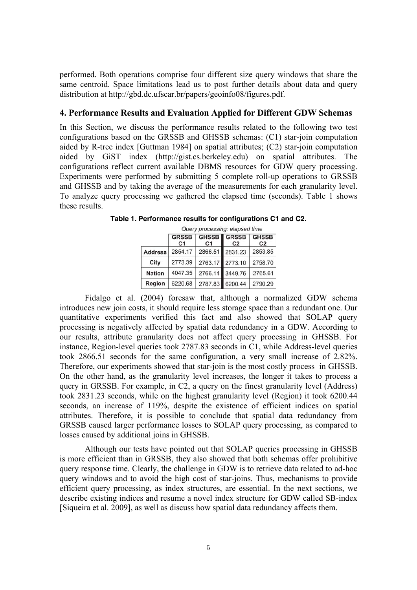performed. Both operations comprise four different size query windows that share the same centroid. Space limitations lead us to post further details about data and query distribution at http://gbd.dc.ufscar.br/papers/geoinfo08/figures.pdf.

## **4. Performance Results and Evaluation Applied for Different GDW Schemas**

In this Section, we discuss the performance results related to the following two test configurations based on the GRSSB and GHSSB schemas: (C1) star-join computation aided by R-tree index [Guttman 1984] on spatial attributes; (C2) star-join computation aided by GiST index (http://gist.cs.berkeley.edu) on spatial attributes. The configurations reflect current available DBMS resources for GDW query processing. Experiments were performed by submitting 5 complete roll-up operations to GRSSB and GHSSB and by taking the average of the measurements for each granularity level. To analyze query processing we gathered the elapsed time (seconds). Table 1 shows these results.

|                | Query processing: elapsed time |                                |                                |                                |  |  |  |  |  |  |
|----------------|--------------------------------|--------------------------------|--------------------------------|--------------------------------|--|--|--|--|--|--|
|                | <b>GRSSB</b><br>C <sub>1</sub> | <b>GHSSB</b><br>C <sub>1</sub> | <b>GRSSB</b><br>C <sub>2</sub> | <b>GHSSB</b><br>C <sub>2</sub> |  |  |  |  |  |  |
| <b>Address</b> | 2854.17                        | 2866.51                        | 2831.23                        | 2853.85                        |  |  |  |  |  |  |
| City           | 2773.39                        | 2763.17                        | 2773.10                        | 2758.70                        |  |  |  |  |  |  |
| <b>Nation</b>  | 4047.35                        | 2766.14                        | 3449.76                        | 2765.61                        |  |  |  |  |  |  |
| Region         | 6220.68                        | 2787.83                        | 6200.44                        | 2790.29                        |  |  |  |  |  |  |

**Table 1. Performance results for configurations C1 and C2.** 

 Fidalgo et al. (2004) foresaw that, although a normalized GDW schema introduces new join costs, it should require less storage space than a redundant one. Our quantitative experiments verified this fact and also showed that SOLAP query processing is negatively affected by spatial data redundancy in a GDW. According to our results, attribute granularity does not affect query processing in GHSSB. For instance, Region-level queries took 2787.83 seconds in C1, while Address-level queries took 2866.51 seconds for the same configuration, a very small increase of 2.82%. Therefore, our experiments showed that star-join is the most costly process in GHSSB. On the other hand, as the granularity level increases, the longer it takes to process a query in GRSSB. For example, in C2, a query on the finest granularity level (Address) took 2831.23 seconds, while on the highest granularity level (Region) it took 6200.44 seconds, an increase of 119%, despite the existence of efficient indices on spatial attributes. Therefore, it is possible to conclude that spatial data redundancy from GRSSB caused larger performance losses to SOLAP query processing, as compared to losses caused by additional joins in GHSSB.

 Although our tests have pointed out that SOLAP queries processing in GHSSB is more efficient than in GRSSB, they also showed that both schemas offer prohibitive query response time. Clearly, the challenge in GDW is to retrieve data related to ad-hoc query windows and to avoid the high cost of star-joins. Thus, mechanisms to provide efficient query processing, as index structures, are essential. In the next sections, we describe existing indices and resume a novel index structure for GDW called SB-index [Siqueira et al. 2009], as well as discuss how spatial data redundancy affects them.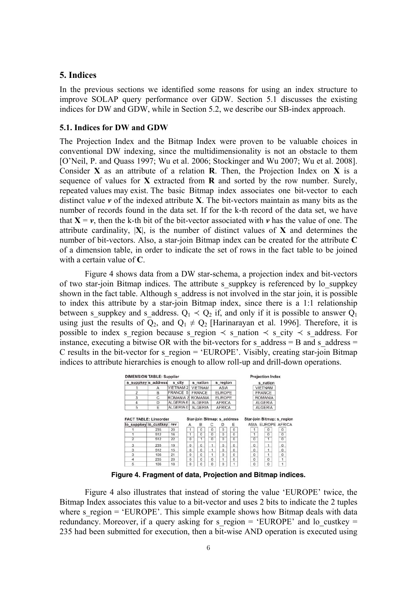## **5. Indices**

In the previous sections we identified some reasons for using an index structure to improve SOLAP query performance over GDW. Section 5.1 discusses the existing indices for DW and GDW, while in Section 5.2, we describe our SB-index approach.

#### **5.1. Indices for DW and GDW**

The Projection Index and the Bitmap Index were proven to be valuable choices in conventional DW indexing, since the multidimensionality is not an obstacle to them [O'Neil, P. and Quass 1997; Wu et al. 2006; Stockinger and Wu 2007; Wu et al. 2008]. Consider **X** as an attribute of a relation **R**. Then, the Projection Index on **X** is a sequence of values for **X** extracted from **R** and sorted by the row number. Surely, repeated values may exist. The basic Bitmap index associates one bit-vector to each distinct value *v* of the indexed attribute **X**. The bit-vectors maintain as many bits as the number of records found in the data set. If for the k-th record of the data set, we have that  $X = v$ , then the k-th bit of the bit-vector associated with *v* has the value of one. The attribute cardinality,  $|\mathbf{X}|$ , is the number of distinct values of **X** and determines the number of bit-vectors. Also, a star-join Bitmap index can be created for the attribute **C** of a dimension table, in order to indicate the set of rows in the fact table to be joined with a certain value of **C**.

 Figure 4 shows data from a DW star-schema, a projection index and bit-vectors of two star-join Bitmap indices. The attribute s\_suppkey is referenced by lo\_suppkey shown in the fact table. Although s address is not involved in the star join, it is possible to index this attribute by a star-join Bitmap index, since there is a 1:1 relationship between s suppkey and s address.  $Q_1 \prec Q_2$  if, and only if it is possible to answer  $Q_1$ using just the results of  $Q_2$ , and  $Q_1 \neq Q_2$  [Harinarayan et al. 1996]. Therefore, it is possible to index s region because s region  $\prec$  s nation  $\prec$  s city  $\prec$  s address. For instance, executing a bitwise OR with the bit-vectors for s\_address = B and s\_address = C results in the bit-vector for s region  $=$  'EUROPE'. Visibly, creating star-join Bitmap indices to attribute hierarchies is enough to allow roll-up and drill-down operations.

|                | s suppkey s address                                   | s city          | s nation                              |                | s region       |                |              | s nation       |                                                  |
|----------------|-------------------------------------------------------|-----------------|---------------------------------------|----------------|----------------|----------------|--------------|----------------|--------------------------------------------------|
|                | А                                                     | VIETNAM 2       | <b>VIETNAM</b>                        |                | ASIA           |                |              | <b>VIETNAM</b> |                                                  |
| $\overline{2}$ | B                                                     | <b>FRANCE 5</b> | <b>FRANCE</b>                         |                | <b>EUROPE</b>  |                |              | <b>FRANCE</b>  |                                                  |
| 3              | C                                                     | ROMANIA 2       | <b>ROMANIA</b>                        |                | <b>EUROPE</b>  |                |              | <b>ROMANIA</b> |                                                  |
| $\overline{4}$ | D                                                     | ALGERIA 6       | <b>ALGERIA</b>                        |                | <b>AFRICA</b>  |                |              | <b>ALGERIA</b> |                                                  |
| 5              | Ε                                                     | ALGERIA 0       | <b>ALGERIA</b>                        |                | <b>AFRICA</b>  |                |              | <b>ALGERIA</b> |                                                  |
|                | <b>FACT TABLE: Lineorder</b><br>lo suppkey lo custkey | rev             | Star-join Bitmap: s address<br>в<br>Α | С              | D              | Ε              |              |                | Star-join Bitmap: s region<br>ASIA EUROPE AFRICA |
|                |                                                       |                 |                                       |                |                |                |              |                |                                                  |
|                | 235                                                   | 20              | 0                                     | $\bf{0}$       | $\mathbf 0$    | $\Omega$       |              | $\Omega$       | $\Omega$                                         |
|                | 512                                                   | 16              | $\Omega$<br>1                         | $\overline{0}$ | $\overline{0}$ | $\Omega$       | 1            | $\Omega$       | $\overline{0}$                                   |
| $\overline{2}$ | 512                                                   | 22              | $\overline{0}$<br>1                   | $\overline{0}$ | $\overline{0}$ | $\overline{0}$ | $\bf{0}$     | 1              | $\overline{0}$                                   |
| 3              | 235                                                   | 19              | $^{\circ}$<br>$\Omega$                | ٠              | $\Omega$       | $\mathbf{0}$   | $\alpha$     | ٠              | $\mathbf{0}$                                     |
| 3              | 512                                                   | 15              | $\bf{0}$<br>0                         |                | $\mathbf 0$    | $\bf{0}$       | $\mathbf{0}$ |                | $\bf{0}$                                         |
| 3              | 106                                                   | 21              | $\mathbf 0$<br>$\bf{0}$               |                | $\circ$        | 0              | $\mathbf 0$  |                | $\mathbf{0}$                                     |
| 4              | 235                                                   | 20              | $\Omega$<br>$\Omega$                  | $\Omega$       | 1              | $\Omega$       | $\Omega$     | $\Omega$       | 1                                                |

**Figure 4. Fragment of data, Projection and Bitmap indices.**

 Figure 4 also illustrates that instead of storing the value 'EUROPE' twice, the Bitmap Index associates this value to a bit-vector and uses 2 bits to indicate the 2 tuples where s region  $=$  'EUROPE'. This simple example shows how Bitmap deals with data redundancy. Moreover, if a query asking for s\_region =  $'EUROPE'$  and lo\_custkey = 235 had been submitted for execution, then a bit-wise AND operation is executed using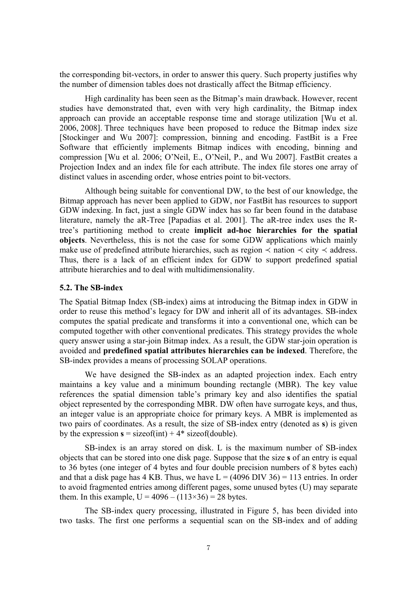the corresponding bit-vectors, in order to answer this query. Such property justifies why the number of dimension tables does not drastically affect the Bitmap efficiency.

 High cardinality has been seen as the Bitmap's main drawback. However, recent studies have demonstrated that, even with very high cardinality, the Bitmap index approach can provide an acceptable response time and storage utilization [Wu et al. 2006, 2008]. Three techniques have been proposed to reduce the Bitmap index size [Stockinger and Wu 2007]: compression, binning and encoding. FastBit is a Free Software that efficiently implements Bitmap indices with encoding, binning and compression [Wu et al. 2006; O'Neil, E., O'Neil, P., and Wu 2007]. FastBit creates a Projection Index and an index file for each attribute. The index file stores one array of distinct values in ascending order, whose entries point to bit-vectors.

 Although being suitable for conventional DW, to the best of our knowledge, the Bitmap approach has never been applied to GDW, nor FastBit has resources to support GDW indexing. In fact, just a single GDW index has so far been found in the database literature, namely the aR-Tree [Papadias et al. 2001]. The aR-tree index uses the Rtree's partitioning method to create **implicit ad-hoc hierarchies for the spatial objects**. Nevertheless, this is not the case for some GDW applications which mainly make use of predefined attribute hierarchies, such as region  $\prec$  nation  $\prec$  city  $\prec$  address. Thus, there is a lack of an efficient index for GDW to support predefined spatial attribute hierarchies and to deal with multidimensionality.

## **5.2. The SB-index**

The Spatial Bitmap Index (SB-index) aims at introducing the Bitmap index in GDW in order to reuse this method's legacy for DW and inherit all of its advantages. SB-index computes the spatial predicate and transforms it into a conventional one, which can be computed together with other conventional predicates. This strategy provides the whole query answer using a star-join Bitmap index. As a result, the GDW star-join operation is avoided and **predefined spatial attributes hierarchies can be indexed**. Therefore, the SB-index provides a means of processing SOLAP operations.

 We have designed the SB-index as an adapted projection index. Each entry maintains a key value and a minimum bounding rectangle (MBR). The key value references the spatial dimension table's primary key and also identifies the spatial object represented by the corresponding MBR. DW often have surrogate keys, and thus, an integer value is an appropriate choice for primary keys. A MBR is implemented as two pairs of coordinates. As a result, the size of SB-index entry (denoted as **s**) is given by the expression  $s =$  sizeof(int) + 4 $*$  sizeof(double).

 SB-index is an array stored on disk. L is the maximum number of SB-index objects that can be stored into one disk page. Suppose that the size **s** of an entry is equal to 36 bytes (one integer of 4 bytes and four double precision numbers of 8 bytes each) and that a disk page has 4 KB. Thus, we have  $L = (4096 \text{ DIV } 36) = 113$  entries. In order to avoid fragmented entries among different pages, some unused bytes (U) may separate them. In this example,  $U = 4096 - (113 \times 36) = 28$  bytes.

 The SB-index query processing, illustrated in Figure 5, has been divided into two tasks. The first one performs a sequential scan on the SB-index and of adding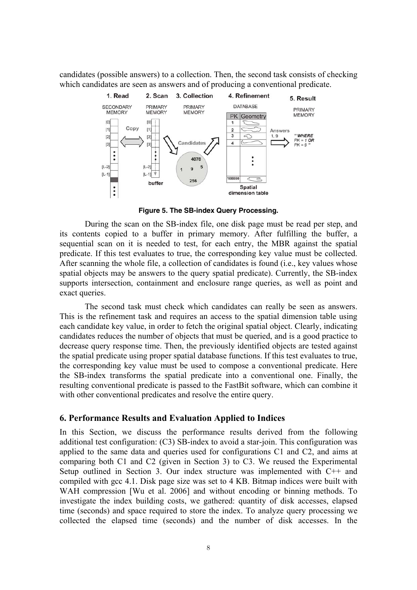candidates (possible answers) to a collection. Then, the second task consists of checking which candidates are seen as answers and of producing a conventional predicate.



**Figure 5. The SB-index Query Processing.**

 During the scan on the SB-index file, one disk page must be read per step, and its contents copied to a buffer in primary memory. After fulfilling the buffer, a sequential scan on it is needed to test, for each entry, the MBR against the spatial predicate. If this test evaluates to true, the corresponding key value must be collected. After scanning the whole file, a collection of candidates is found (i.e., key values whose spatial objects may be answers to the query spatial predicate). Currently, the SB-index supports intersection, containment and enclosure range queries, as well as point and exact queries.

 The second task must check which candidates can really be seen as answers. This is the refinement task and requires an access to the spatial dimension table using each candidate key value, in order to fetch the original spatial object. Clearly, indicating candidates reduces the number of objects that must be queried, and is a good practice to decrease query response time. Then, the previously identified objects are tested against the spatial predicate using proper spatial database functions. If this test evaluates to true, the corresponding key value must be used to compose a conventional predicate. Here the SB-index transforms the spatial predicate into a conventional one. Finally, the resulting conventional predicate is passed to the FastBit software, which can combine it with other conventional predicates and resolve the entire query.

## **6. Performance Results and Evaluation Applied to Indices**

In this Section, we discuss the performance results derived from the following additional test configuration: (C3) SB-index to avoid a star-join. This configuration was applied to the same data and queries used for configurations C1 and C2, and aims at comparing both C1 and C2 (given in Section 3) to C3. We reused the Experimental Setup outlined in Section 3. Our index structure was implemented with C++ and compiled with gcc 4.1. Disk page size was set to 4 KB. Bitmap indices were built with WAH compression [Wu et al. 2006] and without encoding or binning methods. To investigate the index building costs, we gathered: quantity of disk accesses, elapsed time (seconds) and space required to store the index. To analyze query processing we collected the elapsed time (seconds) and the number of disk accesses. In the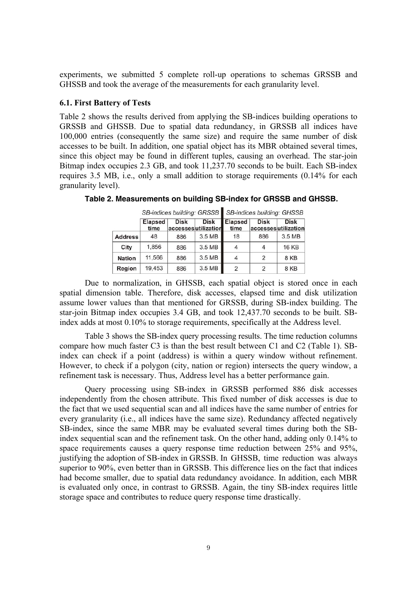experiments, we submitted 5 complete roll-up operations to schemas GRSSB and GHSSB and took the average of the measurements for each granularity level.

#### **6.1. First Battery of Tests**

Table 2 shows the results derived from applying the SB-indices building operations to GRSSB and GHSSB. Due to spatial data redundancy, in GRSSB all indices have 100,000 entries (consequently the same size) and require the same number of disk accesses to be built. In addition, one spatial object has its MBR obtained several times, since this object may be found in different tuples, causing an overhead. The star-join Bitmap index occupies 2.3 GB, and took 11,237.70 seconds to be built. Each SB-index requires 3.5 MB, i.e., only a small addition to storage requirements (0.14% for each granularity level).

|                |                        |             |                                    | SB-indices building: GRSSB SB-indices building: GHSSB |                                    |              |  |
|----------------|------------------------|-------------|------------------------------------|-------------------------------------------------------|------------------------------------|--------------|--|
|                | <b>Elapsed</b><br>time | <b>Disk</b> | <b>Disk</b><br>accessesutilization | <b>Elapsed</b><br>time                                | <b>Disk</b><br>accessesutilization | <b>Disk</b>  |  |
| <b>Address</b> | 48                     | 886         | 3.5 MB                             | 18                                                    | 886                                | 3.5 MB       |  |
| City           | 1,856                  | 886         | 3.5 MB                             | 4                                                     |                                    | <b>16 KB</b> |  |
| <b>Nation</b>  | 11,566                 | 886         | 3.5 MB                             | 4                                                     |                                    | 8KB          |  |
| Region         | 19.453                 | 886         | 3.5 MB                             | 2                                                     | 2                                  | 8 KB         |  |

**Table 2. Measurements on building SB-index for GRSSB and GHSSB.** 

 Due to normalization, in GHSSB, each spatial object is stored once in each spatial dimension table. Therefore, disk accesses, elapsed time and disk utilization assume lower values than that mentioned for GRSSB, during SB-index building. The star-join Bitmap index occupies 3.4 GB, and took 12,437.70 seconds to be built. SBindex adds at most 0.10% to storage requirements, specifically at the Address level.

 Table 3 shows the SB-index query processing results. The time reduction columns compare how much faster C3 is than the best result between C1 and C2 (Table 1). SBindex can check if a point (address) is within a query window without refinement. However, to check if a polygon (city, nation or region) intersects the query window, a refinement task is necessary. Thus, Address level has a better performance gain.

 Query processing using SB-index in GRSSB performed 886 disk accesses independently from the chosen attribute. This fixed number of disk accesses is due to the fact that we used sequential scan and all indices have the same number of entries for every granularity (i.e., all indices have the same size). Redundancy affected negatively SB-index, since the same MBR may be evaluated several times during both the SBindex sequential scan and the refinement task. On the other hand, adding only 0.14% to space requirements causes a query response time reduction between 25% and 95%, justifying the adoption of SB-index in GRSSB. In GHSSB, time reduction was always superior to 90%, even better than in GRSSB. This difference lies on the fact that indices had become smaller, due to spatial data redundancy avoidance. In addition, each MBR is evaluated only once, in contrast to GRSSB. Again, the tiny SB-index requires little storage space and contributes to reduce query response time drastically.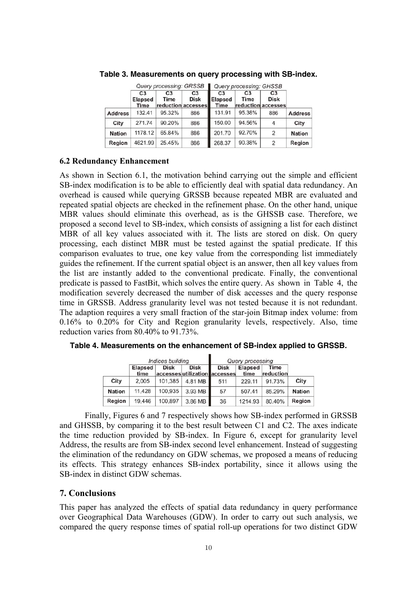|                |                                   | Query processing: GRSSB |                                                     | <b>Query processing: GHSSB</b>           |                        |                                                            |                |
|----------------|-----------------------------------|-------------------------|-----------------------------------------------------|------------------------------------------|------------------------|------------------------------------------------------------|----------------|
|                | C <sub>3</sub><br>Elapsed<br>Time | C <sub>3</sub><br>Time  | C <sub>3</sub><br><b>Disk</b><br>reduction accesses | C <sub>3</sub><br><b>Elapsed</b><br>Time | C <sub>3</sub><br>Time | C <sub>3</sub><br><b>Disk</b><br><b>reduction accesses</b> |                |
| <b>Address</b> | 132.41                            | 95.32%                  | 886                                                 | 131.91                                   | 95.38%                 | 886                                                        | <b>Address</b> |
| City           | 271.74                            | 90.20%                  | 886                                                 | 150.00                                   | 94.56%                 | 4                                                          | City           |
| <b>Nation</b>  | 1178.12                           | 65.84%                  | 886                                                 | 201.70                                   | 92.70%                 | 2                                                          | <b>Nation</b>  |
| Region         | 4621.99                           | 25.45%                  | 886                                                 | 268.37                                   | 90.38%                 | $\mathfrak{p}$                                             | Region         |

**Table 3. Measurements on query processing with SB-index.** 

## **6.2 Redundancy Enhancement**

As shown in Section 6.1, the motivation behind carrying out the simple and efficient SB-index modification is to be able to efficiently deal with spatial data redundancy. An overhead is caused while querying GRSSB because repeated MBR are evaluated and repeated spatial objects are checked in the refinement phase. On the other hand, unique MBR values should eliminate this overhead, as is the GHSSB case. Therefore, we proposed a second level to SB-index, which consists of assigning a list for each distinct MBR of all key values associated with it. The lists are stored on disk. On query processing, each distinct MBR must be tested against the spatial predicate. If this comparison evaluates to true, one key value from the corresponding list immediately guides the refinement. If the current spatial object is an answer, then all key values from the list are instantly added to the conventional predicate. Finally, the conventional predicate is passed to FastBit, which solves the entire query. As shown in Table 4, the modification severely decreased the number of disk accesses and the query response time in GRSSB. Address granularity level was not tested because it is not redundant. The adaption requires a very small fraction of the star-join Bitmap index volume: from 0.16% to 0.20% for City and Region granularity levels, respectively. Also, time reduction varies from 80.40% to 91.73%.

|               |                        | Indices building |                                              | Query processing |                        |                   |               |
|---------------|------------------------|------------------|----------------------------------------------|------------------|------------------------|-------------------|---------------|
|               | <b>Elapsed</b><br>time | <b>Disk</b>      | <b>Disk</b><br>accesses utilization accesses | <b>Disk</b>      | <b>Elapsed</b><br>time | Time<br>reduction |               |
| City          | 2.005                  | 101,385          | 4.81 MB                                      | 511              | 229.11                 | 91.73%            | City          |
| <b>Nation</b> | 11,428                 | 100,935          | $3.93 \, \text{MB}$                          | 57               | 507.41                 | 85.29%            | <b>Nation</b> |
| Region        | 19,446                 | 100.897          | 3.86 MB                                      | 36               | 1214.93                | 80.40%            | Region        |

**Table 4. Measurements on the enhancement of SB-index applied to GRSSB.**

 Finally, Figures 6 and 7 respectively shows how SB-index performed in GRSSB and GHSSB, by comparing it to the best result between C1 and C2. The axes indicate the time reduction provided by SB-index. In Figure 6, except for granularity level Address, the results are from SB-index second level enhancement. Instead of suggesting the elimination of the redundancy on GDW schemas, we proposed a means of reducing its effects. This strategy enhances SB-index portability, since it allows using the SB-index in distinct GDW schemas.

# **7. Conclusions**

This paper has analyzed the effects of spatial data redundancy in query performance over Geographical Data Warehouses (GDW). In order to carry out such analysis, we compared the query response times of spatial roll-up operations for two distinct GDW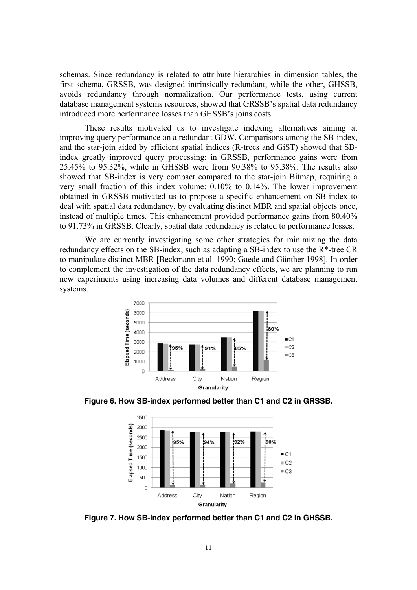schemas. Since redundancy is related to attribute hierarchies in dimension tables, the first schema, GRSSB, was designed intrinsically redundant, while the other, GHSSB, avoids redundancy through normalization. Our performance tests, using current database management systems resources, showed that GRSSB's spatial data redundancy introduced more performance losses than GHSSB's joins costs.

 These results motivated us to investigate indexing alternatives aiming at improving query performance on a redundant GDW. Comparisons among the SB-index, and the star-join aided by efficient spatial indices (R-trees and GiST) showed that SBindex greatly improved query processing: in GRSSB, performance gains were from 25.45% to 95.32%, while in GHSSB were from 90.38% to 95.38%. The results also showed that SB-index is very compact compared to the star-join Bitmap, requiring a very small fraction of this index volume: 0.10% to 0.14%. The lower improvement obtained in GRSSB motivated us to propose a specific enhancement on SB-index to deal with spatial data redundancy, by evaluating distinct MBR and spatial objects once, instead of multiple times. This enhancement provided performance gains from 80.40% to 91.73% in GRSSB. Clearly, spatial data redundancy is related to performance losses.

 We are currently investigating some other strategies for minimizing the data redundancy effects on the SB-index, such as adapting a SB-index to use the R\*-tree CR to manipulate distinct MBR [Beckmann et al. 1990; Gaede and Günther 1998]. In order to complement the investigation of the data redundancy effects, we are planning to run new experiments using increasing data volumes and different database management systems.



**Figure 6. How SB-index performed better than C1 and C2 in GRSSB.** 



**Figure 7. How SB-index performed better than C1 and C2 in GHSSB.**